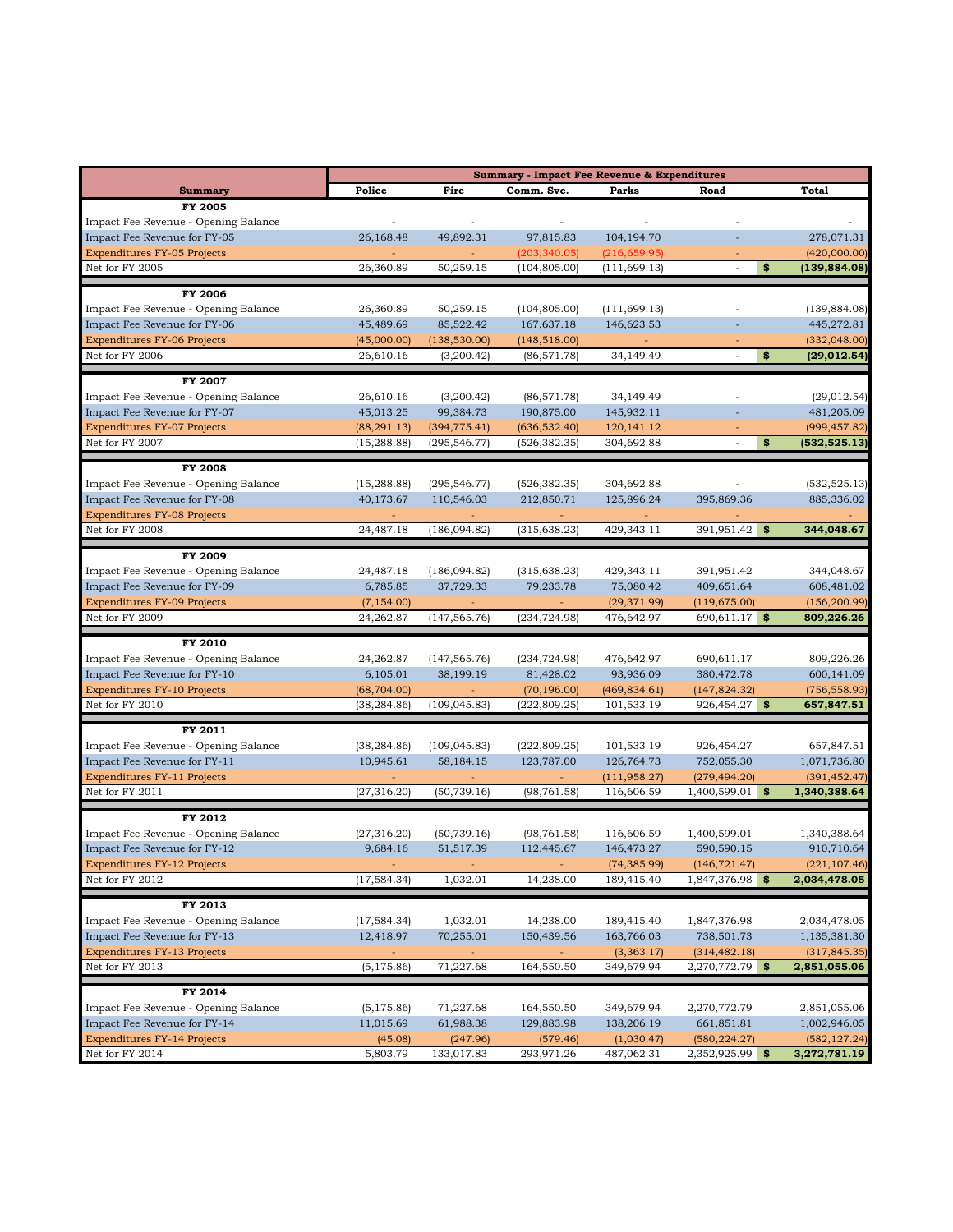|                                                        | <b>Summary - Impact Fee Revenue &amp; Expenditures</b> |                          |                            |                            |                                  |                             |
|--------------------------------------------------------|--------------------------------------------------------|--------------------------|----------------------------|----------------------------|----------------------------------|-----------------------------|
| <b>Summary</b>                                         | Police                                                 | Fire                     | Comm. Svc.                 | Parks                      | Road                             | Total                       |
| FY 2005                                                |                                                        |                          |                            |                            |                                  |                             |
| Impact Fee Revenue - Opening Balance                   |                                                        | $\overline{\phantom{a}}$ |                            |                            |                                  |                             |
| Impact Fee Revenue for FY-05                           | 26,168.48                                              | 49,892.31                | 97,815.83                  | 104,194.70                 |                                  | 278,071.31                  |
| <b>Expenditures FY-05 Projects</b>                     |                                                        |                          | (203, 340.05)              | (216, 659.95)              |                                  | (420,000.00)                |
| Net for FY 2005                                        | 26,360.89                                              | 50,259.15                | (104, 805.00)              | (111, 699.13)              | \$<br>÷,                         | (139, 884.08)               |
| FY 2006                                                |                                                        |                          |                            |                            |                                  |                             |
| Impact Fee Revenue - Opening Balance                   | 26,360.89                                              | 50,259.15                | (104, 805.00)              | (111, 699.13)              |                                  | (139, 884.08)               |
| Impact Fee Revenue for FY-06                           | 45,489.69                                              | 85,522.42                | 167,637.18                 | 146,623.53                 |                                  | 445,272.81                  |
| <b>Expenditures FY-06 Projects</b>                     | (45,000.00)                                            | (138, 530.00)            | (148, 518.00)              |                            |                                  | (332, 048.00)               |
| Net for FY 2006                                        | 26,610.16                                              | (3,200.42)               | (86, 571.78)               | 34,149.49                  | \$                               | (29, 012.54)                |
|                                                        |                                                        |                          |                            |                            |                                  |                             |
| <b>FY 2007</b><br>Impact Fee Revenue - Opening Balance |                                                        |                          |                            |                            |                                  |                             |
| Impact Fee Revenue for FY-07                           | 26,610.16<br>45,013.25                                 | (3,200.42)<br>99,384.73  | (86, 571.78)<br>190,875.00 | 34,149.49<br>145,932.11    |                                  | (29, 012.54)<br>481,205.09  |
| <b>Expenditures FY-07 Projects</b>                     | (88, 291.13)                                           | (394, 775.41)            | (636, 532.40)              | 120,141.12                 |                                  | (999, 457.82)               |
| Net for FY 2007                                        | (15, 288.88)                                           | (295, 546.77)            | (526, 382.35)              | 304,692.88                 | \$<br>÷,                         | (532,525.13)                |
|                                                        |                                                        |                          |                            |                            |                                  |                             |
| <b>FY 2008</b>                                         |                                                        |                          |                            |                            |                                  |                             |
| Impact Fee Revenue - Opening Balance                   | (15, 288.88)                                           | (295, 546.77)            | (526, 382.35)              | 304,692.88                 |                                  | (532, 525.13)               |
| Impact Fee Revenue for FY-08                           | 40,173.67                                              | 110,546.03               | 212,850.71                 | 125,896.24                 | 395,869.36                       | 885,336.02                  |
| <b>Expenditures FY-08 Projects</b>                     |                                                        |                          |                            |                            |                                  |                             |
| Net for FY 2008                                        | 24,487.18                                              | (186,094.82)             | (315, 638.23)              | 429,343.11                 | 391,951.42 \$                    | 344,048.67                  |
| <b>FY 2009</b>                                         |                                                        |                          |                            |                            |                                  |                             |
| Impact Fee Revenue - Opening Balance                   | 24,487.18                                              | (186,094.82)             | (315, 638.23)              | 429,343.11                 | 391,951.42                       | 344,048.67                  |
| Impact Fee Revenue for FY-09                           | 6,785.85                                               | 37,729.33                | 79,233.78                  | 75,080.42                  | 409,651.64                       | 608,481.02                  |
| <b>Expenditures FY-09 Projects</b>                     | (7, 154.00)                                            |                          |                            | (29, 371.99)               | (119, 675.00)                    | (156, 200.99)               |
| Net for FY 2009                                        | 24,262.87                                              | (147, 565.76)            | (234, 724.98)              | 476,642.97                 | 690,611.17<br>\$                 | 809,226.26                  |
| FY 2010                                                |                                                        |                          |                            |                            |                                  |                             |
| Impact Fee Revenue - Opening Balance                   | 24,262.87                                              | (147, 565.76)            | (234, 724.98)              | 476,642.97                 | 690,611.17                       | 809,226.26                  |
| Impact Fee Revenue for FY-10                           | 6,105.01                                               | 38,199.19                | 81,428.02                  | 93,936.09                  | 380,472.78                       | 600,141.09                  |
| <b>Expenditures FY-10 Projects</b>                     | (68, 704.00)                                           | $\omega$                 | (70, 196.00)               | (469, 834.61)              | (147, 824.32)                    | (756, 558.93)               |
| Net for FY 2010                                        | (38, 284.86)                                           | (109, 045.83)            | (222, 809.25)              | 101,533.19                 | 926,454.27<br>\$                 | 657,847.51                  |
| FY 2011                                                |                                                        |                          |                            |                            |                                  |                             |
| Impact Fee Revenue - Opening Balance                   | (38, 284.86)                                           | (109, 045.83)            | (222, 809.25)              | 101,533.19                 | 926,454.27                       | 657,847.51                  |
| Impact Fee Revenue for FY-11                           | 10,945.61                                              | 58,184.15                | 123,787.00                 | 126,764.73                 | 752,055.30                       | 1,071,736.80                |
| <b>Expenditures FY-11 Projects</b>                     |                                                        |                          |                            | (111, 958.27)              | (279, 494.20)                    | (391, 452.47)               |
| Net for FY 2011                                        | (27, 316.20)                                           | (50, 739.16)             | (98, 761.58)               | 116,606.59                 | 1,400,599.01<br>\$               | 1,340,388.64                |
|                                                        |                                                        |                          |                            |                            |                                  |                             |
| FY 2012                                                |                                                        |                          |                            |                            |                                  |                             |
| Impact Fee Revenue - Opening Balance                   | (27, 316.20)                                           | (50, 739.16)             | (98, 761.58)               | 116,606.59                 | 1,400,599.01                     | 1,340,388.64                |
| Impact Fee Revenue for FY-12                           | 9,684.16                                               | 51,517.39                | 112,445.67                 | 146,473.27                 | 590,590.15                       | 910,710.64<br>(221, 107.46) |
| <b>Expenditures FY-12 Projects</b><br>Net for FY 2012  | (17, 584.34)                                           | ٠<br>1,032.01            | 14,238.00                  | (74, 385.99)<br>189,415.40 | (146, 721.47)<br>1,847,376.98 \$ | 2,034,478.05                |
|                                                        |                                                        |                          |                            |                            |                                  |                             |
| FY 2013                                                |                                                        |                          |                            |                            |                                  |                             |
| Impact Fee Revenue - Opening Balance                   | (17, 584.34)                                           | 1,032.01                 | 14,238.00                  | 189,415.40                 | 1,847,376.98                     | 2,034,478.05                |
| Impact Fee Revenue for FY-13                           | 12,418.97                                              | 70,255.01                | 150,439.56                 | 163,766.03                 | 738,501.73                       | 1,135,381.30                |
| <b>Expenditures FY-13 Projects</b>                     |                                                        |                          |                            | (3,363.17)                 | (314, 482.18)                    | (317, 845.35)               |
| Net for FY 2013                                        | (5, 175.86)                                            | 71,227.68                | 164,550.50                 | 349,679.94                 | 2,270,772.79 \$                  | 2,851,055.06                |
| FY 2014                                                |                                                        |                          |                            |                            |                                  |                             |
| Impact Fee Revenue - Opening Balance                   | (5, 175.86)                                            | 71,227.68                | 164,550.50                 | 349,679.94                 | 2,270,772.79                     | 2,851,055.06                |
| Impact Fee Revenue for FY-14                           | 11,015.69                                              | 61,988.38                | 129,883.98                 | 138,206.19                 | 661,851.81                       | 1,002,946.05                |
| <b>Expenditures FY-14 Projects</b>                     | (45.08)                                                | (247.96)                 | (579.46)                   | (1,030.47)                 | (580, 224.27)                    | (582, 127.24)               |
| Net for FY 2014                                        | 5,803.79                                               | 133,017.83               | 293,971.26                 | 487,062.31                 | 2,352,925.99<br>\$               | 3,272,781.19                |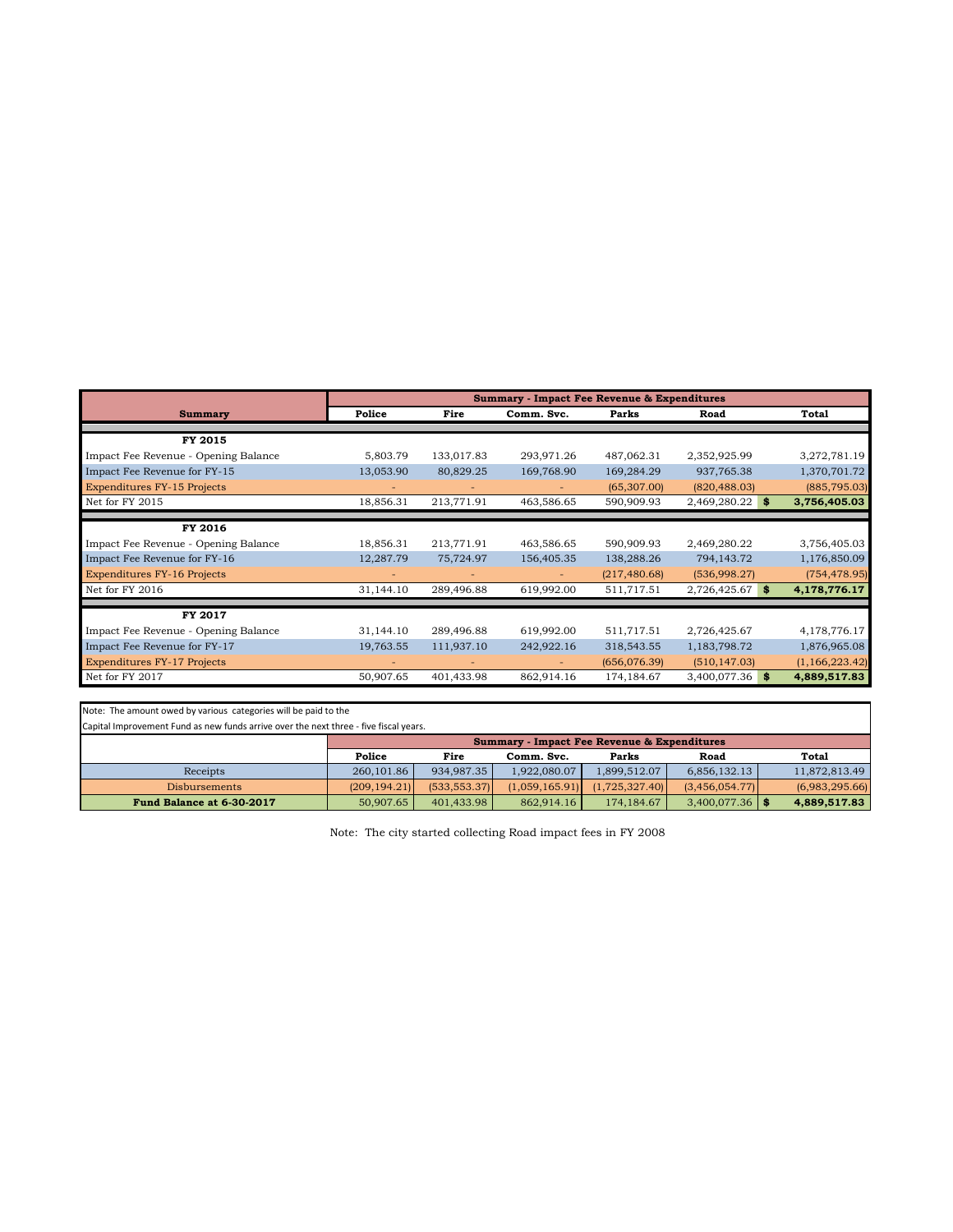|                                      | <b>Summary - Impact Fee Revenue &amp; Expenditures</b> |                          |                          |               |                    |                |
|--------------------------------------|--------------------------------------------------------|--------------------------|--------------------------|---------------|--------------------|----------------|
| <b>Summary</b>                       | Police                                                 | Fire                     | Comm. Svc.               | Parks         | Road               | Total          |
|                                      |                                                        |                          |                          |               |                    |                |
| FY 2015                              |                                                        |                          |                          |               |                    |                |
| Impact Fee Revenue - Opening Balance | 5,803.79                                               | 133,017.83               | 293,971.26               | 487,062.31    | 2,352,925.99       | 3,272,781.19   |
| Impact Fee Revenue for FY-15         | 13,053.90                                              | 80,829.25                | 169,768.90               | 169,284.29    | 937,765.38         | 1,370,701.72   |
| <b>Expenditures FY-15 Projects</b>   |                                                        |                          |                          | (65, 307.00)  | (820, 488.03)      | (885, 795.03)  |
| Net for FY 2015                      | 18,856.31                                              | 213,771.91               | 463,586.65               | 590,909.93    | 2,469,280.22<br>S. | 3,756,405.03   |
|                                      |                                                        |                          |                          |               |                    |                |
| FY 2016                              |                                                        |                          |                          |               |                    |                |
| Impact Fee Revenue - Opening Balance | 18,856.31                                              | 213,771.91               | 463,586.65               | 590,909.93    | 2,469,280.22       | 3,756,405.03   |
| Impact Fee Revenue for FY-16         | 12,287.79                                              | 75,724.97                | 156,405.35               | 138,288.26    | 794,143.72         | 1,176,850.09   |
| <b>Expenditures FY-16 Projects</b>   |                                                        | $\overline{\phantom{a}}$ | $\overline{\phantom{a}}$ | (217, 480.68) | (536,998.27)       | (754, 478.95)  |
| Net for FY 2016                      | 31,144.10                                              | 289,496.88               | 619,992.00               | 511,717.51    | 2,726,425.67<br>S. | 4,178,776.17   |
|                                      |                                                        |                          |                          |               |                    |                |
| FY 2017                              |                                                        |                          |                          |               |                    |                |
| Impact Fee Revenue - Opening Balance | 31,144.10                                              | 289,496.88               | 619,992.00               | 511,717.51    | 2,726,425.67       | 4,178,776.17   |
| Impact Fee Revenue for FY-17         | 19,763.55                                              | 111,937.10               | 242,922.16               | 318,543.55    | 1,183,798.72       | 1,876,965.08   |
| <b>Expenditures FY-17 Projects</b>   |                                                        | ٠                        |                          | (656,076.39)  | (510, 147.03)      | (1,166,223.42) |
| Net for FY 2017                      | 50,907.65                                              | 401,433.98               | 862,914.16               | 174, 184. 67  | 3,400,077.36<br>S. | 4,889,517.83   |

Note: The amount owed by various categories will be paid to the

Capital Improvement Fund as new funds arrive over the next three - five fiscal years.

|                           | <b>Summary - Impact Fee Revenue &amp; Expenditures</b> |              |                 |                |                   |                |
|---------------------------|--------------------------------------------------------|--------------|-----------------|----------------|-------------------|----------------|
|                           | Police                                                 | Fire         | Comm. Svc.      | Parks          | Road              | Total          |
| Receipts                  | 260,101.86                                             | 934.987.35   | 1.922.080.07    | 1.899.512.07   | 6.856.132.13      | 11.872.813.49  |
| <b>Disbursements</b>      | (209.194.21)                                           | (533.553.37) | (1.059, 165.91) | (1.725.327.40) | (3,456,054.77)    | (6,983,295.66) |
| Fund Balance at 6-30-2017 | 50,907.65                                              | 401.433.98   | 862.914.16      | 174, 184, 67   | 3.400.077.36   \$ | 4.889.517.83   |

Note: The city started collecting Road impact fees in FY 2008